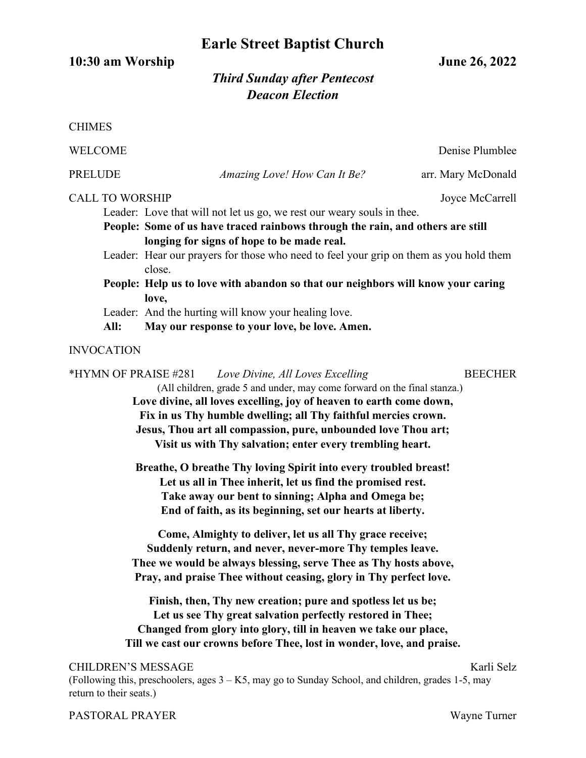# **Earle Street Baptist Church**

**10:30 am Worship June 26, 2022**

## *Third Sunday after Pentecost Deacon Election*

| <b>CHIMES</b>                                                                                                                                                                                                                                                                                                                                                                                                                                                                                                                                                         |  |                              |                    |
|-----------------------------------------------------------------------------------------------------------------------------------------------------------------------------------------------------------------------------------------------------------------------------------------------------------------------------------------------------------------------------------------------------------------------------------------------------------------------------------------------------------------------------------------------------------------------|--|------------------------------|--------------------|
| <b>WELCOME</b>                                                                                                                                                                                                                                                                                                                                                                                                                                                                                                                                                        |  |                              | Denise Plumblee    |
| PRELUDE                                                                                                                                                                                                                                                                                                                                                                                                                                                                                                                                                               |  | Amazing Love! How Can It Be? | arr. Mary McDonald |
| <b>CALL TO WORSHIP</b><br>Joyce McCarrell<br>Leader: Love that will not let us go, we rest our weary souls in thee.<br>People: Some of us have traced rainbows through the rain, and others are still<br>longing for signs of hope to be made real.<br>Leader: Hear our prayers for those who need to feel your grip on them as you hold them<br>close.<br>People: Help us to love with abandon so that our neighbors will know your caring<br>love,<br>Leader: And the hurting will know your healing love.<br>May our response to your love, be love. Amen.<br>All: |  |                              |                    |
| <b>INVOCATION</b>                                                                                                                                                                                                                                                                                                                                                                                                                                                                                                                                                     |  |                              |                    |
| *HYMN OF PRAISE #281<br><b>BEECHER</b><br>Love Divine, All Loves Excelling<br>(All children, grade 5 and under, may come forward on the final stanza.)<br>Love divine, all loves excelling, joy of heaven to earth come down,<br>Fix in us Thy humble dwelling; all Thy faithful mercies crown.<br>Jesus, Thou art all compassion, pure, unbounded love Thou art;<br>Visit us with Thy salvation; enter every trembling heart.                                                                                                                                        |  |                              |                    |
| Breathe, O breathe Thy loving Spirit into every troubled breast!<br>Let us all in Thee inherit, let us find the promised rest.<br>Take away our bent to sinning; Alpha and Omega be;<br>End of faith, as its beginning, set our hearts at liberty.                                                                                                                                                                                                                                                                                                                    |  |                              |                    |
| Come, Almighty to deliver, let us all Thy grace receive;<br>Suddenly return, and never, never-more Thy temples leave.<br>Thee we would be always blessing, serve Thee as Thy hosts above,<br>Pray, and praise Thee without ceasing, glory in Thy perfect love.                                                                                                                                                                                                                                                                                                        |  |                              |                    |
| Finish, then, Thy new creation; pure and spotless let us be;<br>Let us see Thy great salvation perfectly restored in Thee;<br>Changed from glory into glory, till in heaven we take our place,<br>Till we cast our crowns before Thee, lost in wonder, love, and praise.                                                                                                                                                                                                                                                                                              |  |                              |                    |
| <b>CHILDREN'S MESSAGE</b><br>Karli Selz<br>(Following this, preschoolers, ages $3 - K5$ , may go to Sunday School, and children, grades 1-5, may<br>return to their seats.)                                                                                                                                                                                                                                                                                                                                                                                           |  |                              |                    |

### PASTORAL PRAYER Wayne Turner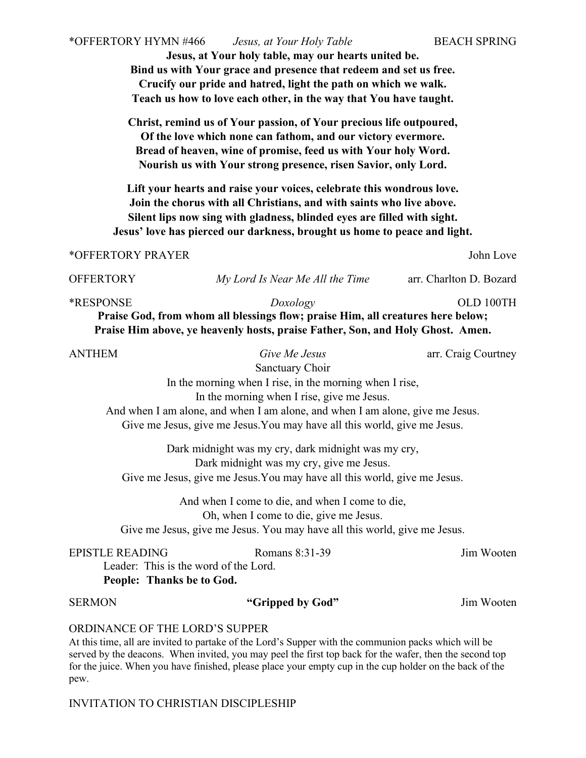**Jesus, at Your holy table, may our hearts united be. Bind us with Your grace and presence that redeem and set us free. Crucify our pride and hatred, light the path on which we walk. Teach us how to love each other, in the way that You have taught.** 

**Christ, remind us of Your passion, of Your precious life outpoured, Of the love which none can fathom, and our victory evermore. Bread of heaven, wine of promise, feed us with Your holy Word. Nourish us with Your strong presence, risen Savior, only Lord.**

**Lift your hearts and raise your voices, celebrate this wondrous love. Join the chorus with all Christians, and with saints who live above. Silent lips now sing with gladness, blinded eyes are filled with sight. Jesus' love has pierced our darkness, brought us home to peace and light.**

#### \*OFFERTORY PRAYER John Love

OFFERTORY *My Lord Is Near Me All the Time* arr. Charlton D. Bozard

\*RESPONSE *Doxology* OLD 100TH  **Praise God, from whom all blessings flow; praise Him, all creatures here below; Praise Him above, ye heavenly hosts, praise Father, Son, and Holy Ghost. Amen.** 

ANTHEM *Give Me Jesus* arr. Craig Courtney

Sanctuary Choir

In the morning when I rise, in the morning when I rise,

In the morning when I rise, give me Jesus.

And when I am alone, and when I am alone, and when I am alone, give me Jesus. Give me Jesus, give me Jesus.You may have all this world, give me Jesus.

Dark midnight was my cry, dark midnight was my cry, Dark midnight was my cry, give me Jesus. Give me Jesus, give me Jesus.You may have all this world, give me Jesus.

And when I come to die, and when I come to die, Oh, when I come to die, give me Jesus. Give me Jesus, give me Jesus. You may have all this world, give me Jesus.

#### EPISTLE READING Romans 8:31-39 Jim Wooten

Leader: This is the word of the Lord. **People: Thanks be to God.** 

#### SERMON **"Gripped by God"** Jim Wooten

#### ORDINANCE OF THE LORD'S SUPPER

At this time, all are invited to partake of the Lord's Supper with the communion packs which will be served by the deacons. When invited, you may peel the first top back for the wafer, then the second top for the juice. When you have finished, please place your empty cup in the cup holder on the back of the pew.

#### INVITATION TO CHRISTIAN DISCIPLESHIP